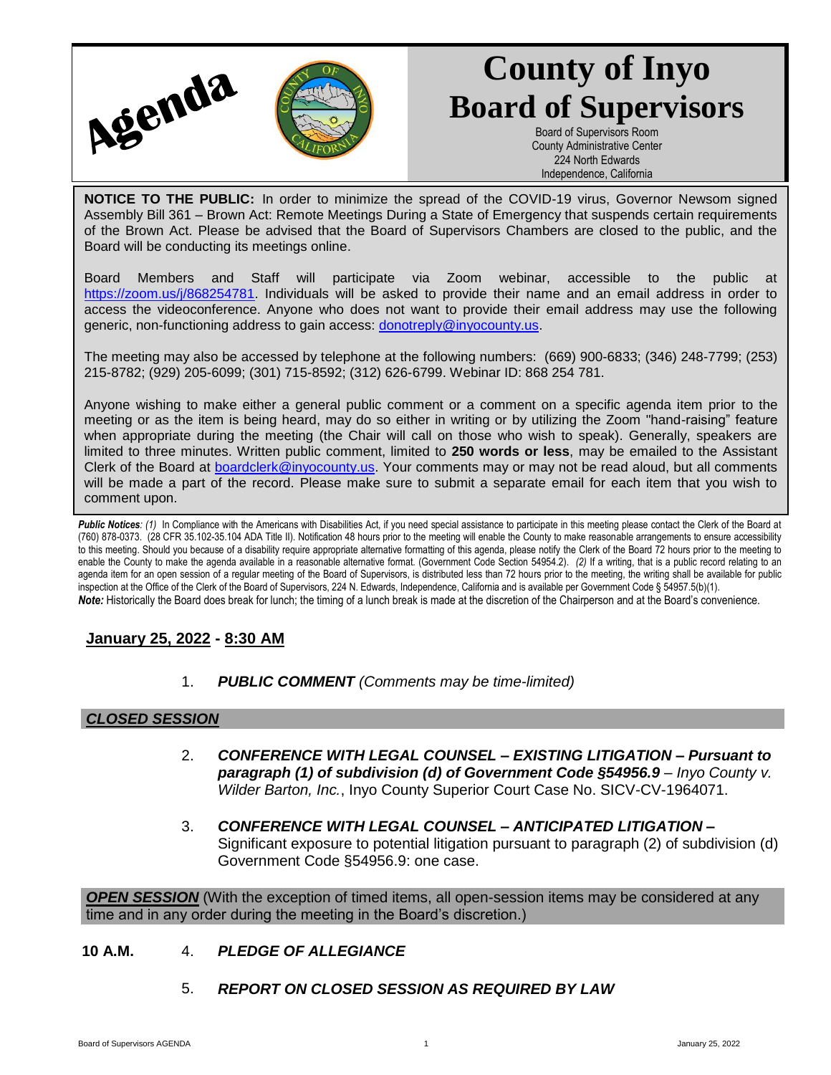

# **County of Inyo Board of Supervisors**

Board of Supervisors Room County Administrative Center 224 North Edwards Independence, California

**NOTICE TO THE PUBLIC:** In order to minimize the spread of the COVID-19 virus, Governor Newsom signed Assembly Bill 361 – Brown Act: Remote Meetings During a State of Emergency that suspends certain requirements of the Brown Act. Please be advised that the Board of Supervisors Chambers are closed to the public, and the Board will be conducting its meetings online.

Board Members and Staff will participate via Zoom webinar, accessible to the public at [https://zoom.us/j/868254781.](https://zoom.us/j/868254781) Individuals will be asked to provide their name and an email address in order to access the videoconference. Anyone who does not want to provide their email address may use the following generic, non-functioning address to gain access: [donotreply@inyocounty.us.](mailto:donotreply@inyocounty.us)

The meeting may also be accessed by telephone at the following numbers: (669) 900-6833; (346) 248-7799; (253) 215-8782; (929) 205-6099; (301) 715-8592; (312) 626-6799. Webinar ID: 868 254 781.

Anyone wishing to make either a general public comment or a comment on a specific agenda item prior to the meeting or as the item is being heard, may do so either in writing or by utilizing the Zoom "hand-raising" feature when appropriate during the meeting (the Chair will call on those who wish to speak). Generally, speakers are limited to three minutes. Written public comment, limited to **250 words or less**, may be emailed to the Assistant Clerk of the Board at [boardclerk@inyocounty.us.](mailto:boardclerk@inyocounty.us) Your comments may or may not be read aloud, but all comments will be made a part of the record. Please make sure to submit a separate email for each item that you wish to comment upon.

Public Notices: (1) In Compliance with the Americans with Disabilities Act, if you need special assistance to participate in this meeting please contact the Clerk of the Board at (760) 878-0373. (28 CFR 35.102-35.104 ADA Title II). Notification 48 hours prior to the meeting will enable the County to make reasonable arrangements to ensure accessibility to this meeting. Should you because of a disability require appropriate alternative formatting of this agenda, please notify the Clerk of the Board 72 hours prior to the meeting to enable the County to make the agenda available in a reasonable alternative format. (Government Code Section 54954.2). *(2)* If a writing, that is a public record relating to an agenda item for an open session of a regular meeting of the Board of Supervisors, is distributed less than 72 hours prior to the meeting, the writing shall be available for public inspection at the Office of the Clerk of the Board of Supervisors, 224 N. Edwards, Independence, California and is available per Government Code § 54957.5(b)(1). *Note:* Historically the Board does break for lunch; the timing of a lunch break is made at the discretion of the Chairperson and at the Board's convenience.

## **January 25, 2022 - 8:30 AM**

1. *PUBLIC COMMENT (Comments may be time-limited)*

## *CLOSED SESSION*

- 2. *CONFERENCE WITH LEGAL COUNSEL – EXISTING LITIGATION – Pursuant to paragraph (1) of subdivision (d) of Government Code §54956.9* – *Inyo County v. Wilder Barton, Inc.*, Inyo County Superior Court Case No. SICV-CV-1964071.
- 3. *CONFERENCE WITH LEGAL COUNSEL – ANTICIPATED LITIGATION –* Significant exposure to potential litigation pursuant to paragraph (2) of subdivision (d) Government Code §54956.9: one case.

*OPEN SESSION* (With the exception of timed items, all open-session items may be considered at any time and in any order during the meeting in the Board's discretion.)

- **10 A.M.** 4. *PLEDGE OF ALLEGIANCE*
	- 5. *REPORT ON CLOSED SESSION AS REQUIRED BY LAW*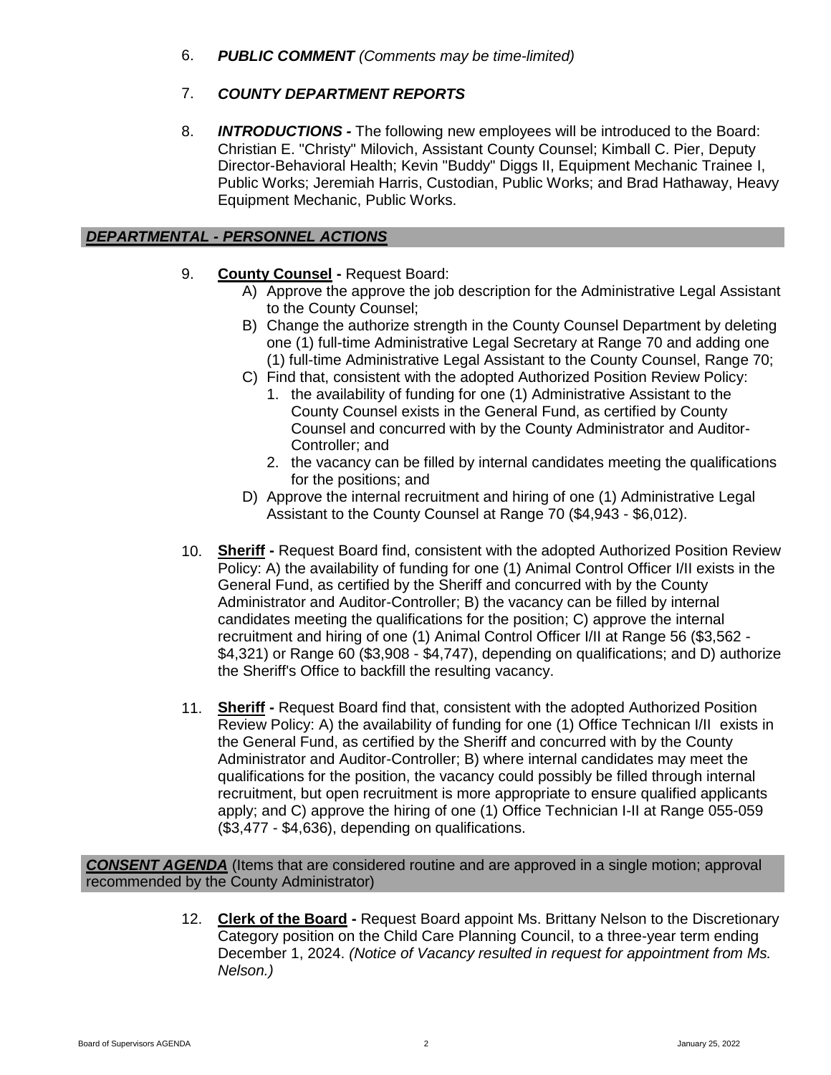6. *PUBLIC COMMENT (Comments may be time-limited)*

# 7. *COUNTY DEPARTMENT REPORTS*

8. *INTRODUCTIONS -* The following new employees will be introduced to the Board: Christian E. "Christy" Milovich, Assistant County Counsel; Kimball C. Pier, Deputy Director-Behavioral Health; Kevin "Buddy" Diggs II, Equipment Mechanic Trainee I, Public Works; Jeremiah Harris, Custodian, Public Works; and Brad Hathaway, Heavy Equipment Mechanic, Public Works.

## *DEPARTMENTAL - PERSONNEL ACTIONS*

- 9. **County Counsel -** Request Board:
	- A) Approve the approve the job description for the Administrative Legal Assistant to the County Counsel;
	- B) Change the authorize strength in the County Counsel Department by deleting one (1) full-time Administrative Legal Secretary at Range 70 and adding one (1) full-time Administrative Legal Assistant to the County Counsel, Range 70;
	- C) Find that, consistent with the adopted Authorized Position Review Policy:
		- 1. the availability of funding for one (1) Administrative Assistant to the County Counsel exists in the General Fund, as certified by County Counsel and concurred with by the County Administrator and Auditor-Controller; and
		- 2. the vacancy can be filled by internal candidates meeting the qualifications for the positions; and
	- D) Approve the internal recruitment and hiring of one (1) Administrative Legal Assistant to the County Counsel at Range 70 (\$4,943 - \$6,012).
- 10. **Sheriff -** Request Board find, consistent with the adopted Authorized Position Review Policy: A) the availability of funding for one (1) Animal Control Officer I/II exists in the General Fund, as certified by the Sheriff and concurred with by the County Administrator and Auditor-Controller; B) the vacancy can be filled by internal candidates meeting the qualifications for the position; C) approve the internal recruitment and hiring of one (1) Animal Control Officer I/II at Range 56 (\$3,562 - \$4,321) or Range 60 (\$3,908 - \$4,747), depending on qualifications; and D) authorize the Sheriff's Office to backfill the resulting vacancy.
- 11. **Sheriff -** Request Board find that, consistent with the adopted Authorized Position Review Policy: A) the availability of funding for one (1) Office Technican I/II exists in the General Fund, as certified by the Sheriff and concurred with by the County Administrator and Auditor-Controller; B) where internal candidates may meet the qualifications for the position, the vacancy could possibly be filled through internal recruitment, but open recruitment is more appropriate to ensure qualified applicants apply; and C) approve the hiring of one (1) Office Technician I-II at Range 055-059 (\$3,477 - \$4,636), depending on qualifications.

*CONSENT AGENDA* (Items that are considered routine and are approved in a single motion; approval recommended by the County Administrator)

> 12. **Clerk of the Board -** Request Board appoint Ms. Brittany Nelson to the Discretionary Category position on the Child Care Planning Council, to a three-year term ending December 1, 2024. *(Notice of Vacancy resulted in request for appointment from Ms. Nelson.)*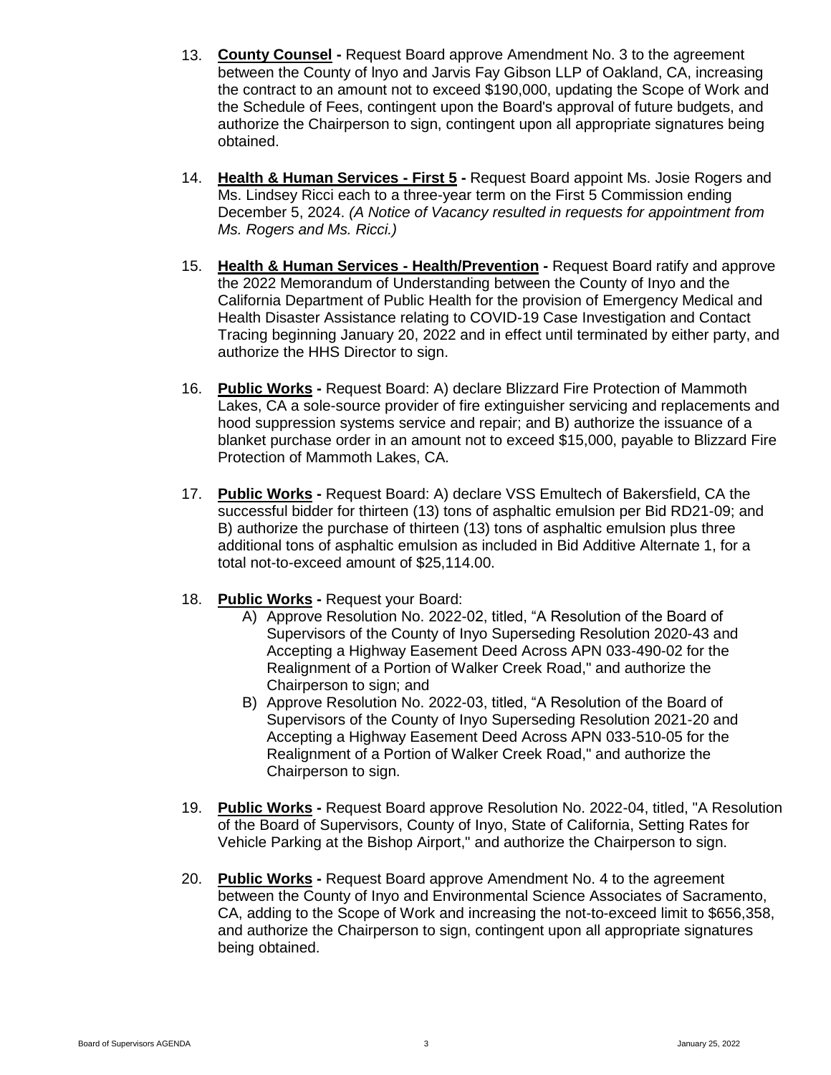- 13. **County Counsel -** Request Board approve Amendment No. 3 to the agreement between the County of lnyo and Jarvis Fay Gibson LLP of Oakland, CA, increasing the contract to an amount not to exceed \$190,000, updating the Scope of Work and the Schedule of Fees, contingent upon the Board's approval of future budgets, and authorize the Chairperson to sign, contingent upon all appropriate signatures being obtained.
- 14. **Health & Human Services - First 5 -** Request Board appoint Ms. Josie Rogers and Ms. Lindsey Ricci each to a three-year term on the First 5 Commission ending December 5, 2024. *(A Notice of Vacancy resulted in requests for appointment from Ms. Rogers and Ms. Ricci.)*
- 15. **Health & Human Services - Health/Prevention -** Request Board ratify and approve the 2022 Memorandum of Understanding between the County of Inyo and the California Department of Public Health for the provision of Emergency Medical and Health Disaster Assistance relating to COVID-19 Case Investigation and Contact Tracing beginning January 20, 2022 and in effect until terminated by either party, and authorize the HHS Director to sign.
- 16. **Public Works -** Request Board: A) declare Blizzard Fire Protection of Mammoth Lakes, CA a sole-source provider of fire extinguisher servicing and replacements and hood suppression systems service and repair; and B) authorize the issuance of a blanket purchase order in an amount not to exceed \$15,000, payable to Blizzard Fire Protection of Mammoth Lakes, CA.
- 17. **Public Works -** Request Board: A) declare VSS Emultech of Bakersfield, CA the successful bidder for thirteen (13) tons of asphaltic emulsion per Bid RD21-09; and B) authorize the purchase of thirteen (13) tons of asphaltic emulsion plus three additional tons of asphaltic emulsion as included in Bid Additive Alternate 1, for a total not-to-exceed amount of \$25,114.00.
- 18. **Public Works -** Request your Board:
	- A) Approve Resolution No. 2022-02, titled, "A Resolution of the Board of Supervisors of the County of Inyo Superseding Resolution 2020-43 and Accepting a Highway Easement Deed Across APN 033-490-02 for the Realignment of a Portion of Walker Creek Road," and authorize the Chairperson to sign; and
	- B) Approve Resolution No. 2022-03, titled, "A Resolution of the Board of Supervisors of the County of Inyo Superseding Resolution 2021-20 and Accepting a Highway Easement Deed Across APN 033-510-05 for the Realignment of a Portion of Walker Creek Road," and authorize the Chairperson to sign.
- 19. **Public Works -** Request Board approve Resolution No. 2022-04, titled, "A Resolution of the Board of Supervisors, County of Inyo, State of California, Setting Rates for Vehicle Parking at the Bishop Airport," and authorize the Chairperson to sign.
- 20. **Public Works -** Request Board approve Amendment No. 4 to the agreement between the County of Inyo and Environmental Science Associates of Sacramento, CA, adding to the Scope of Work and increasing the not-to-exceed limit to \$656,358, and authorize the Chairperson to sign, contingent upon all appropriate signatures being obtained.